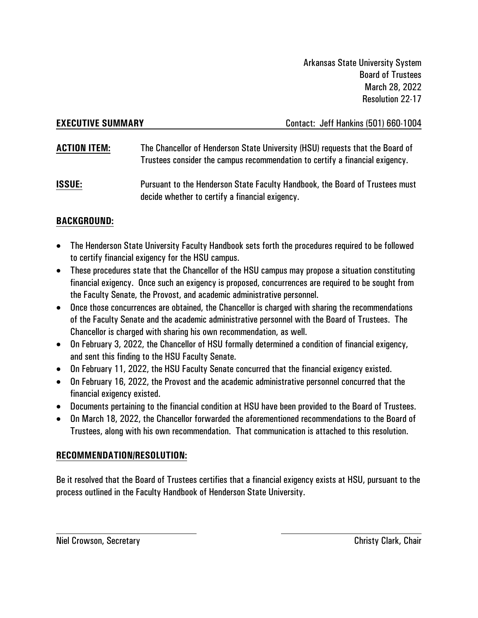**EXECUTIVE SUMMARY** Contact: Jeff Hankins (501) 660-1004

- **ACTION ITEM:** The Chancellor of Henderson State University (HSU) requests that the Board of Trustees consider the campus recommendation to certify a financial exigency.
- **ISSUE:** Pursuant to the Henderson State Faculty Handbook, the Board of Trustees must decide whether to certify a financial exigency.

## **BACKGROUND:**

- The Henderson State University Faculty Handbook sets forth the procedures required to be followed to certify financial exigency for the HSU campus.
- These procedures state that the Chancellor of the HSU campus may propose a situation constituting financial exigency. Once such an exigency is proposed, concurrences are required to be sought from the Faculty Senate, the Provost, and academic administrative personnel.
- Once those concurrences are obtained, the Chancellor is charged with sharing the recommendations of the Faculty Senate and the academic administrative personnel with the Board of Trustees. The Chancellor is charged with sharing his own recommendation, as well.
- On February 3, 2022, the Chancellor of HSU formally determined a condition of financial exigency, and sent this finding to the HSU Faculty Senate.
- On February 11, 2022, the HSU Faculty Senate concurred that the financial exigency existed.
- On February 16, 2022, the Provost and the academic administrative personnel concurred that the financial exigency existed.
- Documents pertaining to the financial condition at HSU have been provided to the Board of Trustees.
- On March 18, 2022, the Chancellor forwarded the aforementioned recommendations to the Board of Trustees, along with his own recommendation. That communication is attached to this resolution.

## **RECOMMENDATION/RESOLUTION:**

Be it resolved that the Board of Trustees certifies that a financial exigency exists at HSU, pursuant to the process outlined in the Faculty Handbook of Henderson State University.

Niel Crowson, Secretary Christy Clark, Chair